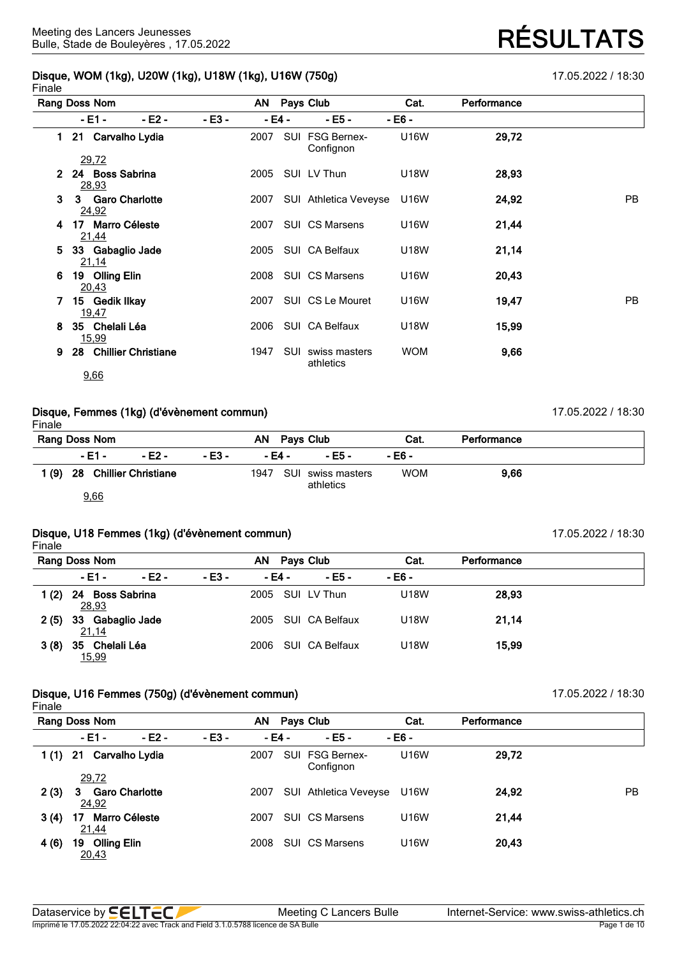#### **Disque, WOM (1kg), U20W (1kg), U18W (1kg), U16W (750g)** 17.05.2022 / 18:30 Finale

| <br>Rang Doss Nom                             |         | AN Pays Club                      | Cat.        | Performance |           |
|-----------------------------------------------|---------|-----------------------------------|-------------|-------------|-----------|
| - E2 -<br>- E1 -                              | $-E3 -$ | - E5 -<br>- E4 -                  | - E6 -      |             |           |
| 21 Carvalho Lydia<br>1.                       | 2007    | SUI FSG Bernex-<br>Confignon      | <b>U16W</b> | 29,72       |           |
| <u>29,72</u><br>24 Boss Sabrina<br>2<br>28,93 | 2005    | SUI LV Thun                       | <b>U18W</b> | 28,93       |           |
| 3 Garo Charlotte<br>3<br>24,92                | 2007    | SUI Athletica Veveyse             | U16W        | 24,92       | <b>PB</b> |
| 17 Marro Céleste<br>4<br><u>21,44</u>         | 2007    | <b>SUI CS Marsens</b>             | U16W        | 21,44       |           |
| 33 Gabaglio Jade<br>5.<br>21,14               | 2005    | SUI CA Belfaux                    | U18W        | 21,14       |           |
| 19 Olling Elin<br>6<br>20,43                  |         | 2008 SUI CS Marsens               | U16W        | 20,43       |           |
| 15 Gedik Ilkay<br>7.<br>19,47                 | 2007    | SUI CS Le Mouret                  | U16W        | 19,47       | <b>PB</b> |
| 35 Chelali Léa<br>8.<br>15,99                 | 2006    | SUI CA Belfaux                    | U18W        | 15,99       |           |
| 28 Chillier Christiane<br>9                   | 1947    | SUI<br>swiss masters<br>athletics | <b>WOM</b>  | 9,66        |           |
| 9,66                                          |         |                                   |             |             |           |

## **Disque, Femmes (1kg) (d'évènement commun)** 17.05.2022 / 18:30

Finale **Rang Doss Nom AN Pays Club Cat. Performance - E1 - - E2 - - E3 - - E4 - - E5 - - E6 - 1 (9) 28 Chillier Christiane** 1947 SUI swiss masters athletics WOM **9,66**

9,66

## **Disque, U18 Femmes (1kg) (d'évènement commun)** 17.05.2022 / 18:30

Finale

|         | Rang Doss Nom                      |         |        | ΑN     | Pays Club      | Cat.   | Performance |  |
|---------|------------------------------------|---------|--------|--------|----------------|--------|-------------|--|
|         | - E1 -                             | $-E2 -$ | - E3 - | - E4 - | $-E5 -$        | - E6 - |             |  |
| 1 $(2)$ | 24<br><b>Boss Sabrina</b><br>28,93 |         |        | 2005   | SUI LV Thun    | U18W   | 28,93       |  |
| 2(5)    | 33 Gabaglio Jade<br>21,14          |         |        | 2005   | SUI CA Belfaux | U18W   | 21,14       |  |
| 3(8)    | Chelali Léa<br>35<br>15,99         |         |        | 2006   | SUI CA Belfaux | U18W   | 15.99       |  |

## **Disque, U16 Femmes (750g) (d'évènement commun)** 17.05.2022 / 18:30

Finale

|      | Rang Doss Nom                       |                       |         | AN      | Pays Club                    | Cat.        | Performance |     |
|------|-------------------------------------|-----------------------|---------|---------|------------------------------|-------------|-------------|-----|
|      | - E1 -                              | $-E2 -$               | $-E3 -$ | $-E4 -$ | $- E5 -$                     | $-E6 -$     |             |     |
| 1(1) | 21                                  | Carvalho Lydia        |         | 2007    | SUI FSG Bernex-<br>Confignon | U16W        | 29,72       |     |
|      | 29,72                               |                       |         |         |                              |             |             |     |
| 2(3) | 3.<br>24,92                         | <b>Garo Charlotte</b> |         | 2007    | SUI Athletica Veveyse        | U16W        | 24,92       | PB. |
| 3(4) | <b>Marro Céleste</b><br>17<br>21,44 |                       |         | 2007    | <b>SUI CS Marsens</b>        | <b>U16W</b> | 21,44       |     |
| 4(6) | <b>Olling Elin</b><br>19<br>20,43   |                       |         | 2008    | <b>SUI CS Marsens</b>        | U16W        | 20,43       |     |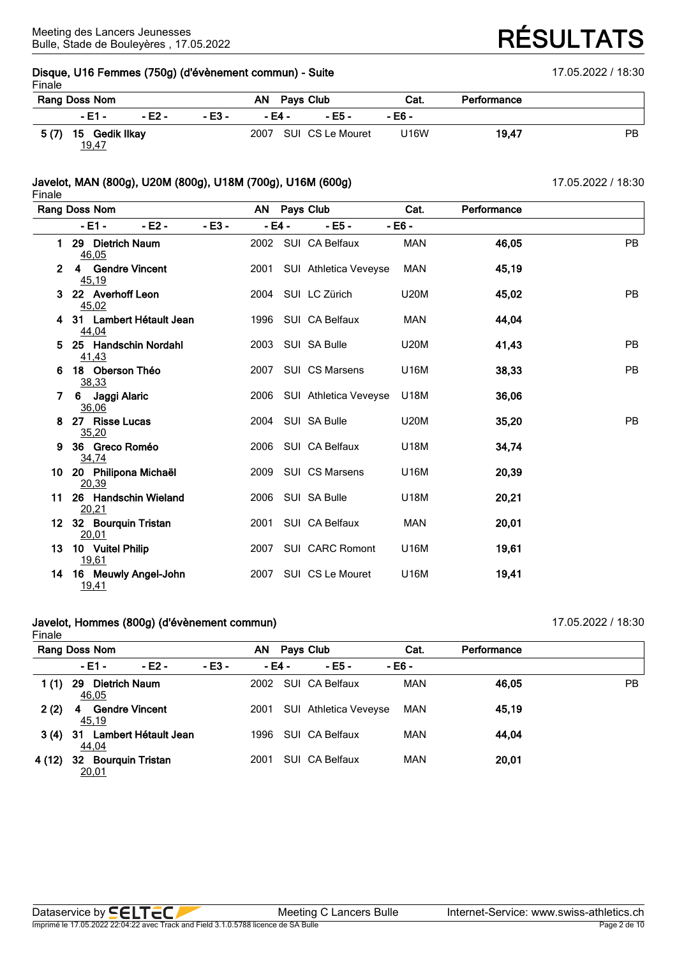### **Disque, U16 Femmes (750g) (d'évènement commun) - Suite** 17.05.2022 / 18:30 Finale

|      | Rang Doss Nom           |        |        | AN.    | <b>Pays Club</b>      | Cat.        | Performance |     |
|------|-------------------------|--------|--------|--------|-----------------------|-------------|-------------|-----|
|      | $-E1 -$                 | - E2 - | - E3 - | - E4 - | - F5 -                | - E6 -      |             |     |
| 5(7) | 15 Gedik Ilkay<br>19,47 |        |        |        | 2007 SUI CS Le Mouret | <b>U16W</b> | 19.47       | PB. |

## **Javelot, MAN (800g), U20M (800g), U18M (700g), U16M (600g)** 17.05.2022 / 18:30

Finale **Rang Doss Nom AN Pays Club Cat. Performance - E1 - - E2 - - E3 - - E4 - - E5 - - E6 - 1 29 Dietrich Naum** 2002 SUI CA Belfaux MAN **46,05** PB 46,05 **2 4 Gendre Vincent** 2001 SUI Athletica Veveyse MAN **45,19** 45,19 **3 22 Averhoff Leon** 2004 SUI LC Zürich U20M **45,02** PB 45,02 **4 31 Lambert Hétault Jean** 1996 SUI CA Belfaux MAN **44,04** 44,04 **5 25 Handschin Nordahl** 2003 SUI SA Bulle U20M **41,43** PB 41,43 **6 18 Oberson Théo** 2007 SUI CS Marsens U16M **38,33** PB 38,33 **7 6 Jaggi Alaric** 2006 SUI Athletica Veveyse U18M **36,06** 36,06 **8 27 Risse Lucas** 2004 SUI SA Bulle U20M **35,20** PB 35,20 **9 36 Greco Roméo** 2006 SUI CA Belfaux U18M **34,74** 34,74 **10 20 Philipona Michaël** 2009 SUI CS Marsens U16M **20,39** 20,39 **11 26 Handschin Wieland** 2006 SUI SA Bulle U18M **20,21** 20,21 **12 32 Bourquin Tristan** 2001 SUI CA Belfaux MAN **20,01** 20,01 **13 10 Vuitel Philip** 2007 SUI CARC Romont U16M **19,61** 19,61 **14 16 Meuwly Angel-John** 2007 SUI CS Le Mouret U16M **19,41** 19,41

### **Javelot, Hommes (800g) (d'évènement commun)** 17.05.2022 / 18:30 Finale

|        | Rang Doss Nom                          |         | AN . | Pays Club |                              | Cat.       | Performance |           |
|--------|----------------------------------------|---------|------|-----------|------------------------------|------------|-------------|-----------|
|        | $-E1 -$<br>$-E2 -$                     | $-E3 -$ |      | - E4 -    | - E5 -                       | - E6 -     |             |           |
| 1 (1)  | <b>Dietrich Naum</b><br>29<br>46,05    |         | 2002 |           | SUI CA Belfaux               | <b>MAN</b> | 46,05       | <b>PB</b> |
| 2(2)   | <b>Gendre Vincent</b><br>4<br>45,19    |         | 2001 |           | <b>SUI</b> Athletica Veveyse | MAN        | 45.19       |           |
| 3(4)   | 31 Lambert Hétault Jean<br>44,04       |         | 1996 |           | SUI CA Belfaux               | MAN        | 44.04       |           |
| 4 (12) | <b>Bourquin Tristan</b><br>32<br>20.01 |         | 2001 |           | SUI CA Belfaux               | <b>MAN</b> | 20,01       |           |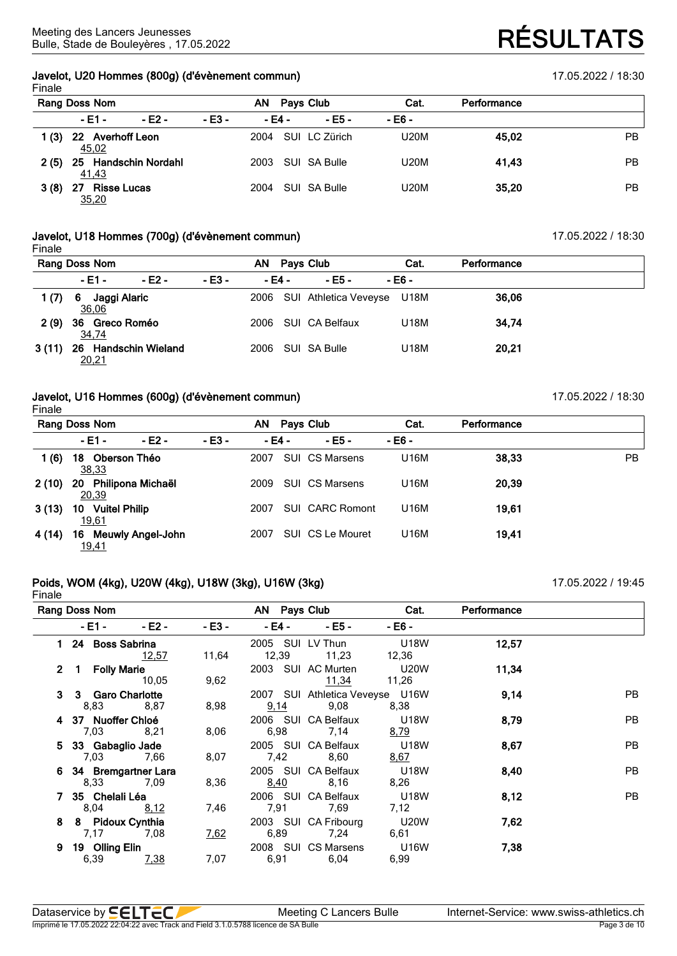## **Javelot, U20 Hommes (800g) (d'évènement commun)** 17.05.2022 / 18:30 Finale

|      | Rang Doss Nom                     |        |         | ΑN     | Pays Club     | Cat.        | Performance |           |
|------|-----------------------------------|--------|---------|--------|---------------|-------------|-------------|-----------|
|      | - E1 -                            | - E2 - | $-E3 -$ | - E4 - | $-E5-$        | - E6 -      |             |           |
| 1(3) | 22 Averhoff Leon<br>45,02         |        |         | 2004   | SUI LC Zürich | <b>U20M</b> | 45.02       | <b>PB</b> |
| 2(5) | 25 Handschin Nordahl<br>41,43     |        |         | 2003   | SUI SA Bulle  | <b>U20M</b> | 41.43       | <b>PB</b> |
| 3(8) | <b>Risse Lucas</b><br>27<br>35,20 |        |         | 2004   | SUI SA Bulle  | <b>U20M</b> | 35.20       | <b>PB</b> |

## **Javelot, U18 Hommes (700g) (d'évènement commun)** 17.05.2022 / 18:30

|       | Rang Doss Nom                 |        |        | AN.    | Pays Club                  | Cat.   | Performance |  |
|-------|-------------------------------|--------|--------|--------|----------------------------|--------|-------------|--|
|       | $-E1 -$                       | - E2 - | - E3 - | - E4 - | - E5 -                     | - E6 - |             |  |
| 1 (7) | Jaggi Alaric<br>- 6<br>36,06  |        |        | 2006   | SUI Athletica Veveyse U18M |        | 36,06       |  |
| 2(9)  | 36 Greco Roméo<br>34,74       |        |        | 2006   | SUI CA Belfaux             | U18M   | 34,74       |  |
| 3(11) | 26 Handschin Wieland<br>20,21 |        |        | 2006   | SUI SA Bulle               | U18M   | 20,21       |  |

### **Javelot, U16 Hommes (600g) (d'évènement commun)** 17.05.2022 / 18:30 Finale

|        | Rang Doss Nom                           |         | AN   | Pays Club  |                        | Cat.     | Performance |     |
|--------|-----------------------------------------|---------|------|------------|------------------------|----------|-------------|-----|
|        | $-E2 -$<br>$-E1 -$                      | $-E3 -$ |      | $-E4 -$    | $- E5 -$               | $- E6 -$ |             |     |
| 1(6)   | Oberson Théo<br>18<br><u>38,33</u>      |         | 2007 | <b>SUI</b> | CS Marsens             | U16M     | 38,33       | PB. |
| 2(10)  | Philipona Michaël<br>20<br>20,39        |         | 2009 |            | <b>SUI CS Marsens</b>  | U16M     | 20,39       |     |
| 3(13)  | <b>Vuitel Philip</b><br>10<br>19,61     |         | 2007 |            | <b>SUI CARC Romont</b> | U16M     | 19,61       |     |
| 4 (14) | <b>Meuwly Angel-John</b><br>16<br>19,41 |         | 2007 | SUI        | CS Le Mouret           | U16M     | 19.41       |     |

#### **Poids, WOM (4kg), U20W (4kg), U18W (3kg), U16W (3kg)** 17.05.2022 / 19:45 Finale

|              | Rang Doss Nom                      |         |             | AN Pays Club                |                                         | Cat.                       | Performance |           |
|--------------|------------------------------------|---------|-------------|-----------------------------|-----------------------------------------|----------------------------|-------------|-----------|
|              | - E1 -                             | $-E2 -$ | $-E3 -$     | - E4 -                      | $-E5 -$                                 | - E6 -                     |             |           |
|              | 24 Boss Sabrina                    | 12,57   | 11,64       |                             | 2005 SUI LV Thun<br>12,39 11,23         | U18W<br>12,36              | 12,57       |           |
| $\mathbf{2}$ | 1 Folly Marie                      | 10,05   | 9,62        | 2003 SUI AC Murten          | <u>11,34</u>                            | <b>U20W</b><br>11,26       | 11,34       |           |
| 3            | 3 Garo Charlotte<br>8,83 8,87      |         | 8,98        | 9,14                        | 2007 SUI Athletica Veveyse U16W<br>9,08 | 8,38                       | 9,14        | <b>PB</b> |
|              | 4 37 Nuoffer Chloé<br>7,03 8,21    |         | 8,06        | 2006 SUI CA Belfaux         | 6,98 7,14                               | U18W<br><u>8,79</u>        | 8,79        | PB        |
|              | 5 33 Gabaglio Jade<br>7,03 7,66    |         | 8,07        |                             | 2005 SUI CA Belfaux<br>7,42 8,60        | <b>U18W</b><br><u>8,67</u> | 8,67        | PB        |
|              | 6 34 Bremgartner Lara<br>8,33 7,09 |         | 8,36        | 2005 SUI CA Belfaux<br>8,40 | 8,16                                    | U18W<br>8,26               | 8,40        | PB        |
|              | 35 Chelali Léa<br>8,04 8,12        |         | 7,46        | 2006 SUI CA Belfaux<br>7,91 | 7,69                                    | U18W<br>7,12               | 8,12        | PB        |
| 8            | 8 Pidoux Cynthia<br>7,17           | 7.08    | <u>7,62</u> | 6,89                        | 2003 SUI CA Fribourg<br>7,24            | <b>U20W</b><br>6,61        | 7,62        |           |
| 9            | 19 Olling Elin<br>6,39             | 7,38    | 7,07        | 6,91                        | 2008 SUI CS Marsens<br>6,04             | <b>U16W</b><br>6,99        | 7,38        |           |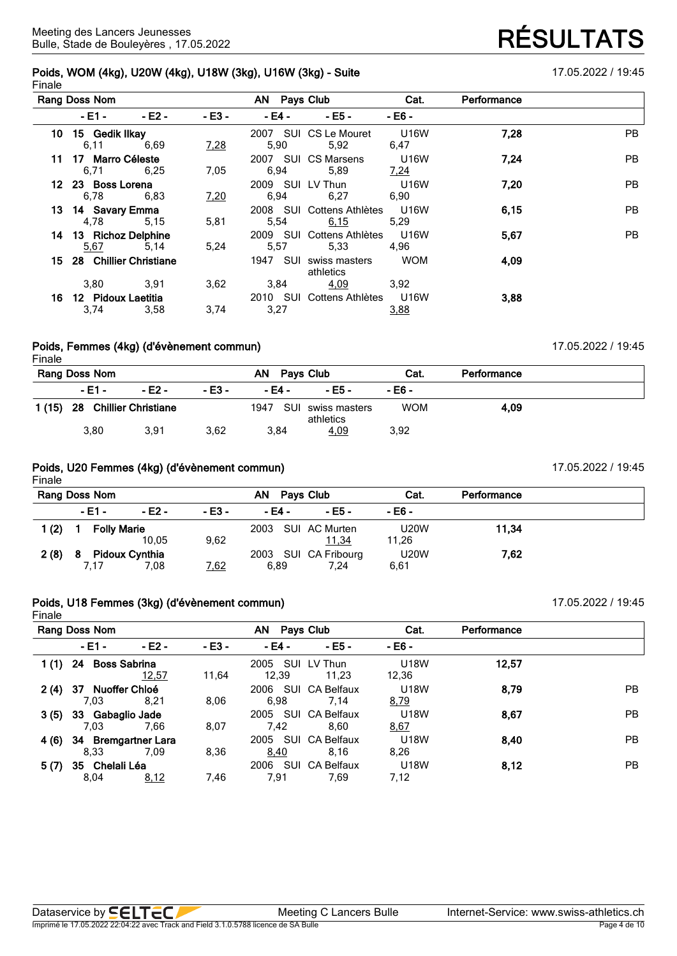### **Poids, WOM (4kg), U20W (4kg), U18W (3kg), U16W (3kg) - Suite** 17.05.2022 / 19:45 Finale

|      | Rang Doss Nom               |         |         | AN Pays Club |                                     | Cat.         | Performance |           |
|------|-----------------------------|---------|---------|--------------|-------------------------------------|--------------|-------------|-----------|
|      | $-E1 -$                     | $-E2 -$ | $-E3 -$ | $-E4 -$      | $- E5 -$                            | - E6 -       |             |           |
|      | 10 15 Gedik Ilkay<br>6,11   | 6.69    | 7,28    | 5,90         | 2007 SUI CS Le Mouret<br>5,92       | U16W<br>6,47 | 7,28        | PB.       |
|      | 11 17 Marro Céleste<br>6,71 | 6,25    | 7.05    | 6.94         | 2007 SUI CS Marsens<br>5.89         | U16W<br>7,24 | 7,24        | <b>PB</b> |
|      | 12 23 Boss Lorena<br>6.78   | 6,83    | 7,20    | 6,94         | 2009 SUI LV Thun<br>6.27            | U16W<br>6.90 | 7,20        | <b>PB</b> |
|      | 13 14 Savary Emma<br>4,78   | 5,15    | 5,81    | 5,54         | 2008 SUI Cottens Athlètes<br>6,15   | U16W<br>5,29 | 6,15        | <b>PB</b> |
| 14   | 13 Richoz Delphine<br>5,67  | 5,14    | 5,24    | 5,57         | 2009 SUI Cottens Athlètes<br>5,33   | U16W<br>4.96 | 5,67        | <b>PB</b> |
| 15 - | 28 Chillier Christiane      |         |         |              | 1947 SUI swiss masters<br>athletics | <b>WOM</b>   | 4,09        |           |
|      | 3,80                        | 3,91    | 3,62    | 3,84         | 4,09                                | 3,92         |             |           |
| 16   | 12 Pidoux Laetitia<br>3,74  | 3,58    | 3,74    | 3,27         | 2010 SUI Cottens Athlètes           | U16W<br>3,88 | 3,88        |           |

#### **Poids, Femmes (4kg) (d'évènement commun)** 17.05.2022 / 19:45 Finale

|        | Rang Doss Nom          |        |        | Pays Club<br>AN. |                                | Cat.       | Performance |
|--------|------------------------|--------|--------|------------------|--------------------------------|------------|-------------|
|        | $-$ F1 $-$             | - F2 - | - E3 - | - E4 -           | - E5 -                         | - F6 -     |             |
| 1 (15) | 28 Chillier Christiane |        |        | 1947             | SUI swiss masters<br>athletics | <b>WOM</b> | 4.09        |
|        | 3,80                   | 3,91   | 3,62   | 3.84             | 4,09                           | 3,92       |             |

### **Poids, U20 Femmes (4kg) (d'évènement commun)** 17.05.2022 / 19:45 Finale

|       | Rang Doss Nom |                               |        | ΑN<br>Pays Club    |                              | Cat.                 | Performance |  |
|-------|---------------|-------------------------------|--------|--------------------|------------------------------|----------------------|-------------|--|
|       | - E1 -        | - E2 -                        | - E3 - | - E4 -             | - E5 -                       | - E6 -               |             |  |
| 1 (2) |               | <b>Folly Marie</b><br>10.05   | 9,62   | 2003 SUI AC Murten | <u>11,34</u>                 | <b>U20W</b><br>11,26 | 11,34       |  |
| 2(8)  | 8<br>7.17     | <b>Pidoux Cynthia</b><br>7.08 | 7,62   | 6,89               | 2003 SUI CA Fribourg<br>7.24 | <b>U20W</b><br>6,61  | 7,62        |  |

## **Poids, U18 Femmes (3kg) (d'évènement commun)** 17.05.2022 / 19:45 Finale

|      | Rang Doss Nom               |                                 |        | AN            | Pays Club              | Cat.                 | Performance |           |
|------|-----------------------------|---------------------------------|--------|---------------|------------------------|----------------------|-------------|-----------|
|      | - E1 -                      | $-E2 -$                         | - E3 - | - E4 -        | - E5 -                 | - E6 -               |             |           |
| 1(1) | 24<br><b>Boss Sabrina</b>   | 12,57                           | 11,64  | 2005<br>12,39 | SUI LV Thun<br>11,23   | <b>U18W</b><br>12,36 | 12.57       |           |
| 2(4) | Nuoffer Chloé<br>37<br>7,03 | 8.21                            | 8,06   | 2006<br>6.98  | SUI CA Belfaux<br>7.14 | <b>U18W</b><br>8,79  | 8,79        | <b>PB</b> |
| 3(5) | Gabaglio Jade<br>33<br>7.03 | 7.66                            | 8,07   | 2005<br>7.42  | SUI CA Belfaux<br>8.60 | <b>U18W</b><br>8,67  | 8,67        | PB.       |
| 4(6) | 34<br>8,33                  | <b>Bremgartner Lara</b><br>7.09 | 8,36   | 2005<br>8,40  | SUI CA Belfaux<br>8.16 | <b>U18W</b><br>8,26  | 8,40        | <b>PB</b> |
| 5(7) | Chelali Léa<br>35<br>8.04   | 8,12                            | 7,46   | 2006<br>7,91  | SUI CA Belfaux<br>7,69 | <b>U18W</b><br>7,12  | 8,12        | <b>PB</b> |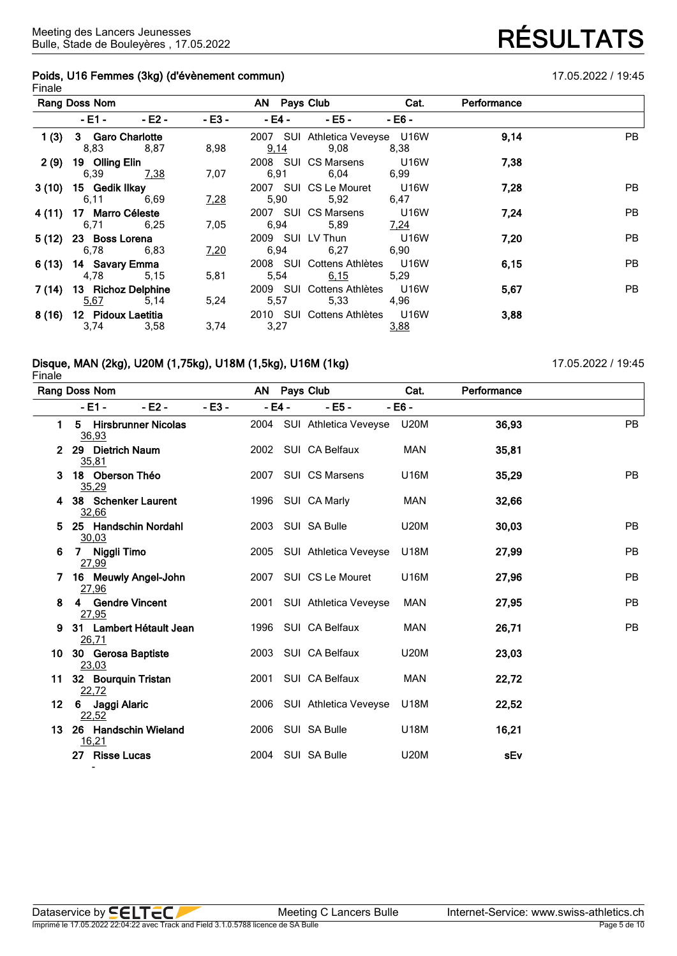## **Poids, U16 Femmes (3kg) (d'évènement commun)** 17.05.2022 / 19:45 Finale

|        | Rang Doss Nom                     |             |          | AN Pays Club |                                         | Cat.                       | Performance |           |
|--------|-----------------------------------|-------------|----------|--------------|-----------------------------------------|----------------------------|-------------|-----------|
|        | $-E1 -$                           | $-E2 -$     | $- E3 -$ | - E4 -       | $-E5 -$                                 | - E6 -                     |             |           |
| 1(3)   | 3 Garo Charlotte<br>8,83          | 8.87        | 8,98     | <u>9,14</u>  | 2007 SUI Athletica Veveyse U16W<br>9.08 | 8,38                       | 9,14        | PB.       |
| 2(9)   | 19 Olling Elin<br>6,39            | <u>7,38</u> | 7,07     | 6.91         | 2008 SUI CS Marsens<br>6.04             | <b>U16W</b><br>6,99        | 7,38        |           |
| 3(10)  | 15 Gedik Ilkay<br>6,11            | 6,69        | 7,28     | 5,90         | 2007 SUI CS Le Mouret<br>5,92           | <b>U16W</b><br>6,47        | 7,28        | <b>PB</b> |
| 4 (11) | 17 Marro Céleste<br>6,71          | 6,25        | 7,05     | 6,94         | 2007 SUI CS Marsens<br>5.89             | <b>U16W</b><br><u>7,24</u> | 7,24        | PB        |
| 5(12)  | 23 Boss Lorena<br>6,78            | 6,83        | 7,20     | 6.94         | 2009 SUI LV Thun<br>6,27 6,90           | <b>U16W</b>                | 7,20        | PB        |
|        | 6 (13) 14 Savary Emma<br>4,78     | 5,15        | 5,81     | 5,54         | 2008 SUI Cottens Athlètes<br>6,15       | <b>U16W</b><br>5,29        | 6,15        | PB        |
|        | 7 (14) 13 Richoz Delphine<br>5,67 | 5,14        | 5,24     | 5,57         | 2009 SUI Cottens Athlètes<br>5,33       | U16W<br>4,96               | 5,67        | PB        |
| 8(16)  | 12 Pidoux Laetitia<br>3,74        | 3.58        | 3,74     | 3,27         | 2010 SUI Cottens Athlètes U16W          | 3,88                       | 3,88        |           |

## **Disque, MAN (2kg), U20M (1,75kg), U18M (1,5kg), U16M (1kg)** 17.05.2022 / 19:45

Finale **Rang Doss Nom AN Pays Club Cat. Performance - E1 - - E2 - - E3 - - E4 - - E5 - - E6 - 1 5 Hirsbrunner Nicolas** 2004 SUI Athletica Veveyse U20M **36,93** PB 36,93 **2 29 Dietrich Naum** 2002 SUI CA Belfaux MAN **35,81** 35,81 **3 18 Oberson Théo** 2007 SUI CS Marsens U16M **35,29** PB 35,29 **4 38 Schenker Laurent** 1996 SUI CA Marly MAN **32,66** 32,66 **5 25 Handschin Nordahl** 2003 SUI SA Bulle U20M **30,03** PB 30,03 **6 7 Niggli Timo** 2005 SUI Athletica Veveyse U18M **27,99** PB 27,99 **7 16 Meuwly Angel-John** 2007 SUI CS Le Mouret U16M **27,96** PB 27,96 **8 4 Gendre Vincent** 2001 SUI Athletica Veveyse MAN **27,95** PB 27,95 **9 31 Lambert Hétault Jean** 1996 SUI CA Belfaux MAN **26,71** PB 26,71 **10 30 Gerosa Baptiste** 2003 SUI CA Belfaux U20M **23,03** 23,03 **11 32 Bourquin Tristan** 2001 SUI CA Belfaux MAN **22,72** 22,72 **12 6 Jaggi Alaric** 2006 SUI Athletica Veveyse U18M **22,52** 22,52 **13 26 Handschin Wieland** 2006 SUI SA Bulle U18M **16,21** 16,21 **27 Risse Lucas** 2004 SUI SA Bulle U20M **sEv**

Imprimé le 17.05.2022 22:04:22 avec Track and Field 3.1.0.5788 licence de SA Bulle

-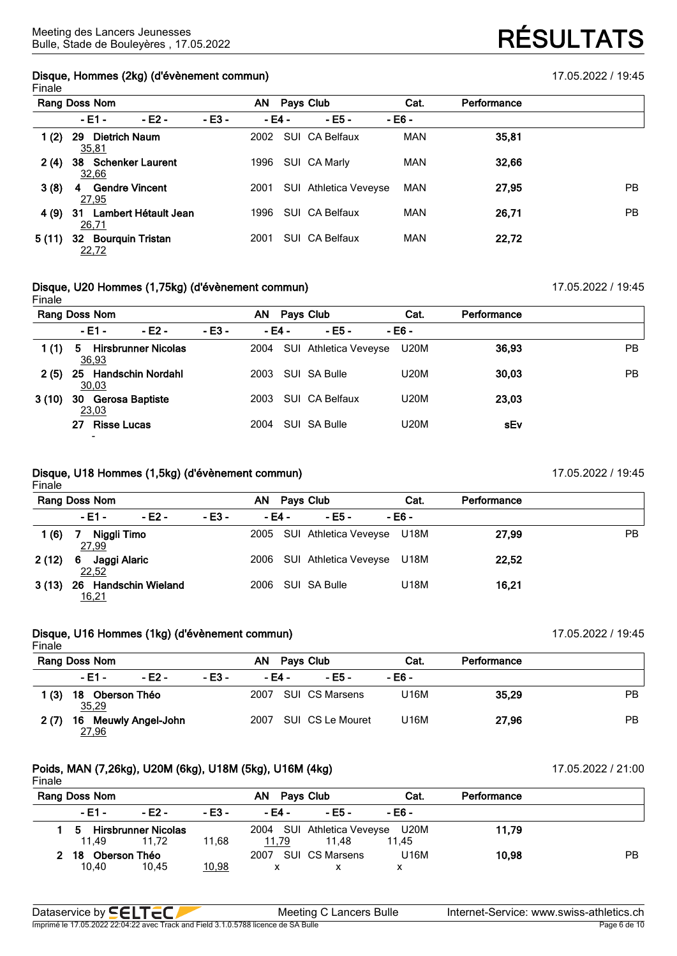## **Disque, Hommes (2kg) (d'évènement commun)** 17.05.2022 / 19:45 Finale

|       | Rang Doss Nom                       |                         |         | AN   |        | Pays Club                    | Cat.       | Performance |           |
|-------|-------------------------------------|-------------------------|---------|------|--------|------------------------------|------------|-------------|-----------|
|       | - E1 -                              | - E2 -                  | $-E3 -$ |      | - E4 - | - E5 -                       | - E6 -     |             |           |
| 1(2)  | <b>Dietrich Naum</b><br>29<br>35,81 |                         |         | 2002 |        | SUI CA Belfaux               | <b>MAN</b> | 35,81       |           |
| 2(4)  | 38<br>32,66                         | <b>Schenker Laurent</b> |         | 1996 |        | SUI CA Marly                 | <b>MAN</b> | 32,66       |           |
| 3(8)  | 4<br>27,95                          | <b>Gendre Vincent</b>   |         | 2001 |        | <b>SUI</b> Athletica Veveyse | MAN        | 27,95       | <b>PB</b> |
| 4 (9) | 31<br>26,71                         | Lambert Hétault Jean    |         | 1996 |        | SUI CA Belfaux               | <b>MAN</b> | 26,71       | <b>PB</b> |
| 5(11) | 32<br><u>22,72</u>                  | <b>Bourquin Tristan</b> |         | 2001 |        | SUI CA Belfaux               | <b>MAN</b> | 22,72       |           |

## **Disque, U20 Hommes (1,75kg) (d'évènement commun)** 17.05.2022 / 19:45

| Finale |                                                      |                            |         |        |                       |             |             |           |
|--------|------------------------------------------------------|----------------------------|---------|--------|-----------------------|-------------|-------------|-----------|
|        | Rang Doss Nom                                        |                            |         | AN     | Pays Club             | Cat.        | Performance |           |
|        | - E1 -                                               | - E2 -                     | $-E3 -$ | - E4 - | - E5 -                | - E6 -      |             |           |
| 1(1)   | 5<br>36,93                                           | <b>Hirsbrunner Nicolas</b> |         | 2004   | SUI Athletica Veveyse | U20M        | 36,93       | <b>PB</b> |
| 2(5)   | 25<br>30,03                                          | <b>Handschin Nordahl</b>   |         | 2003   | SUI SA Bulle          | <b>U20M</b> | 30,03       | <b>PB</b> |
| 3(10)  | <b>Gerosa Baptiste</b><br>30<br>23,03                |                            |         | 2003   | SUI CA Belfaux        | <b>U20M</b> | 23,03       |           |
|        | <b>Risse Lucas</b><br>27<br>$\overline{\phantom{0}}$ |                            |         | 2004   | SUI SA Bulle          | <b>U20M</b> | sEv         |           |

## **Disque, U18 Hommes (1,5kg) (d'évènement commun)** 17.05.2022 / 19:45

Finale **Rang Doss Nom AN Pays Club Cat. Performance - E1 - - E2 - - E3 - - E4 - - E5 - - E6 - 1 (6) 7 Niggli Timo** 2005 SUI Athletica Veveyse U18M **27,99** PB 27,99 **2 (12) 6 Jaggi Alaric** 2006 SUI Athletica Veveyse U18M **22,52** 22.52 **3 (13) 26 Handschin Wieland** 2006 SUI SA Bulle U18M **16,21** 16,21

### **Disque, U16 Hommes (1kg) (d'évènement commun)** 17.05.2022 / 19:45 Finale

**Rang Doss Nom AN Pays Club Cat. Performance - E1 - - E2 - - E3 - - E4 - - E5 - - E6 - 1 (3) 18 Oberson Théo** 2007 SUI CS Marsens U16M **35,29** PB 35,29 **2 (7) 16 Meuwly Angel-John** 2007 SUI CS Le Mouret U16M **27,96** PB 27,96

## **Poids, MAN (7,26kg), U20M (6kg), U18M (5kg), U16M (4kg)** 17.05.2022 / 21:00

## Finale **Rang Doss Nom AN Pays Club Cat. Performance - E1 - - E2 - - E3 - - E4 - - E5 - - E6 - 1 5 Hirsbrunner Nicolas** 2004 SUI Athletica Veveyse U20M **11,79** 11,49 11,72 11,68 <u>11,79</u> 11,48 11,45 **2 18 Oberson Théo** 2007 SUI CS Marsens U16M **10,98** PB 10,40 10,45 <u>10,98</u> x x x

| Dataservice by <b>SELTEC</b>                                                       | Meeting C Lancers Bulle | Internet-Service: www.swiss-athletics.ch |
|------------------------------------------------------------------------------------|-------------------------|------------------------------------------|
| Imprimé le 17.05.2022 22:04:22 avec Track and Field 3.1.0.5788 licence de SA Bulle |                         | Page 6 de 10                             |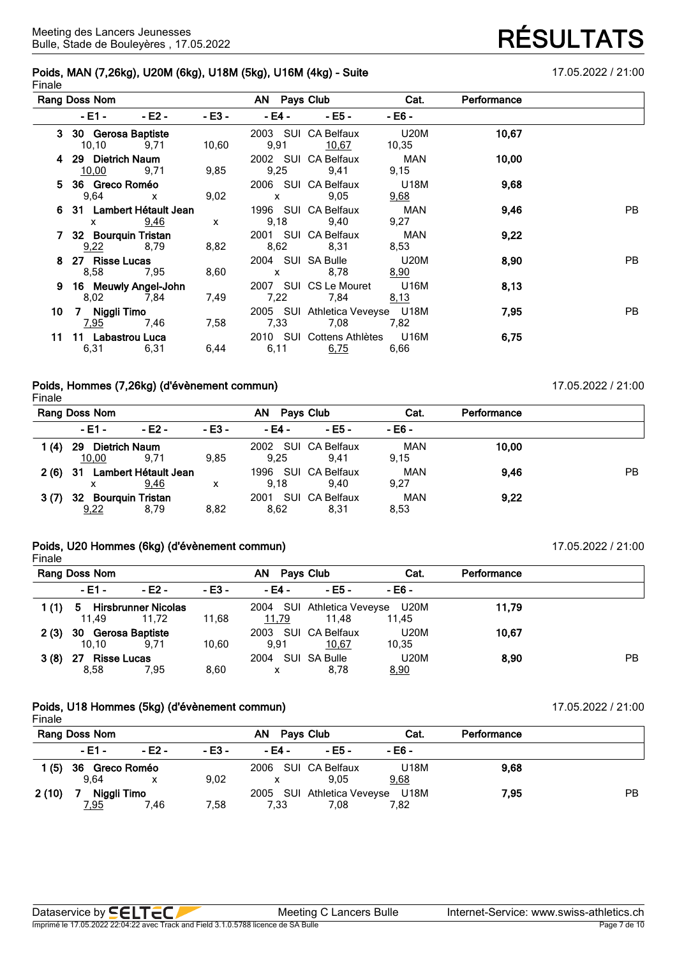## **Poids, MAN (7,26kg), U20M (6kg), U18M (5kg), U16M (4kg) - Suite** 17.05.2022 / 21:00 **Finale**

**RÉSULTATS** 

|    | Rang Doss Nom                             |                          |              |                                                                                                                                                                                                                                                                                                  | AN Pays Club <b>Example 20</b>          | Cat.                       | Performance |    |
|----|-------------------------------------------|--------------------------|--------------|--------------------------------------------------------------------------------------------------------------------------------------------------------------------------------------------------------------------------------------------------------------------------------------------------|-----------------------------------------|----------------------------|-------------|----|
|    | - E1 - III - III                          | - E2 -                   | $-E3 -$      | $-E4$ – $-$                                                                                                                                                                                                                                                                                      | $- E5 -$                                | - E6 -                     |             |    |
|    | 3 30 Gerosa Baptiste<br>$10,10$ 9,71      |                          | 10,60        | 9,91                                                                                                                                                                                                                                                                                             | 2003 SUI CA Belfaux<br><u>10,67</u>     | <b>U20M</b><br>10,35       | 10,67       |    |
| 4  | 29 Dietrich Naum<br>$\frac{10,00}{9,71}$  |                          | 9,85         | 9,25                                                                                                                                                                                                                                                                                             | 2002 SUI CA Belfaux<br>9,41             | MAN<br>9,15                | 10,00       |    |
|    | 5 36 Greco Roméo<br>9,64 x                |                          | 9,02         | $\mathsf{X}$ and $\mathsf{X}$ and $\mathsf{X}$ are $\mathsf{X}$ and $\mathsf{X}$ and $\mathsf{X}$ are $\mathsf{X}$ and $\mathsf{X}$ are $\mathsf{X}$ and $\mathsf{X}$ are $\mathsf{X}$ and $\mathsf{X}$ are $\mathsf{X}$ and $\mathsf{X}$ are $\mathsf{X}$ and $\mathsf{X}$ are $\mathsf{X}$ and | 2006 SUI CA Belfaux<br>9,05             | U18M<br><u>9,68</u>        | 9,68        |    |
|    | 6 31 Lambert Hétault Jean<br>$\mathsf{x}$ | <u>9,46</u>              | $\mathsf{x}$ |                                                                                                                                                                                                                                                                                                  | 1996 SUI CA Belfaux<br>9,18 9,40        | MAN<br>9,27                | 9,46        | PB |
|    | 7 32 Bourquin Tristan                     | $\frac{9,22}{8,79}$ 8,82 |              |                                                                                                                                                                                                                                                                                                  | 2001 SUI CA Belfaux<br>8,62 8,31        | <b>MAN</b><br>8,53         | 9,22        |    |
| 8. | 27 Risse Lucas                            | 8,58 7,95                | 8,60         | x 8,78                                                                                                                                                                                                                                                                                           | 2004 SUI SA Bulle                       | <b>U20M</b><br><u>8,90</u> | 8,90        | PB |
| 9  | 16 Meuwly Angel-John<br>8,02 7,84         |                          | 7,49         |                                                                                                                                                                                                                                                                                                  | 2007 SUI CS Le Mouret U16M<br>7,22 7,84 | <u>8,13</u>                | 8,13        |    |
| 10 | 7 Niggli Timo                             |                          | 7.58         | 7,33                                                                                                                                                                                                                                                                                             | 2005 SUI Athletica Veveyse U18M<br>7.08 | 7,82                       | 7,95        | PB |
| 11 | 11 Labastrou Luca<br>6,31                 | 6,31                     | 6,44         | 6,11                                                                                                                                                                                                                                                                                             | 2010 SUI Cottens Athlètes<br>6,75       | U16M<br>6,66               | 6,75        |    |

## **Poids, Hommes (7,26kg) (d'évènement commun)** 17.05.2022 / 21:00 Finale

|       | Rang Doss Nom                |                              |         | AN           | <b>Pays Club</b>            | Cat.               | Performance |    |
|-------|------------------------------|------------------------------|---------|--------------|-----------------------------|--------------------|-------------|----|
|       | - E1 -                       | $-E2 -$                      | $-E3 -$ | - E4 -       | - E5 -                      | - E6 -             |             |    |
| 1 (4) | Dietrich Naum<br>29<br>10,00 | 9.71                         | 9.85    | 9.25         | 2002 SUI CA Belfaux<br>9.41 | <b>MAN</b><br>9.15 | 10,00       |    |
| 2 (6) | -31<br>x                     | Lambert Hétault Jean<br>9,46 | х       | 1996<br>9.18 | SUI CA Belfaux<br>9.40      | <b>MAN</b><br>9,27 | 9.46        | PB |
| 3(7)  | 32 Bourquin Tristan<br>9,22  | 8,79                         | 8,82    | 2001<br>8,62 | SUI CA Belfaux<br>8,31      | <b>MAN</b><br>8,53 | 9.22        |    |

## **Poids, U20 Hommes (6kg) (d'évènement commun)** 17.05.2022 / 21:00 Finale

|      | Rang Doss Nom                    |                              |         | AN<br>Pavs Club |                                          | Cat.                 | Performance |    |
|------|----------------------------------|------------------------------|---------|-----------------|------------------------------------------|----------------------|-------------|----|
|      | - E1 -                           | - E2 -                       | $-E3 -$ | - E4 -          | - E5 -                                   | - E6 -               |             |    |
| 1(1) | 5.<br>11.49                      | Hirsbrunner Nicolas<br>11.72 | 11,68   | 11,79           | 2004 SUI Athletica Veveyse U20M<br>11.48 | 11.45                | 11.79       |    |
| 2(3) | 30 Gerosa Baptiste<br>10.10      | 9.71                         | 10.60   | 2003<br>9,91    | SUI CA Belfaux<br>10,67                  | <b>U20M</b><br>10,35 | 10.67       |    |
| 3(8) | <b>Risse Lucas</b><br>27<br>8.58 | 7,95                         | 8,60    | 2004<br>X       | SUI SA Bulle<br>8,78                     | <b>U20M</b><br>8,90  | 8,90        | PB |

#### **Poids, U18 Hommes (5kg) (d'évènement commun)** 17.05.2022 / 21:00 Finale

|       | Rang Doss Nom  |        |        | Pays Club<br>AN .   |                                 | Cat.   | Performance |    |
|-------|----------------|--------|--------|---------------------|---------------------------------|--------|-------------|----|
|       | $-E1 -$        | - E2 - | - E3 - | - E4 -              | - E5 -                          | - E6 - |             |    |
| 1 (5) | 36 Greco Roméo |        |        | 2006 SUI CA Belfaux |                                 | U18M   | 9.68        |    |
|       | 9.64           |        | 9,02   |                     | 9.05                            | 9,68   |             |    |
| 2(10) | Niggli Timo    |        |        |                     | 2005 SUI Athletica Veveyse U18M |        | 7,95        | PB |
|       | <u>7,95</u>    | 7.46   | 7.58   | 7,33                | 7.08                            | 7,82   |             |    |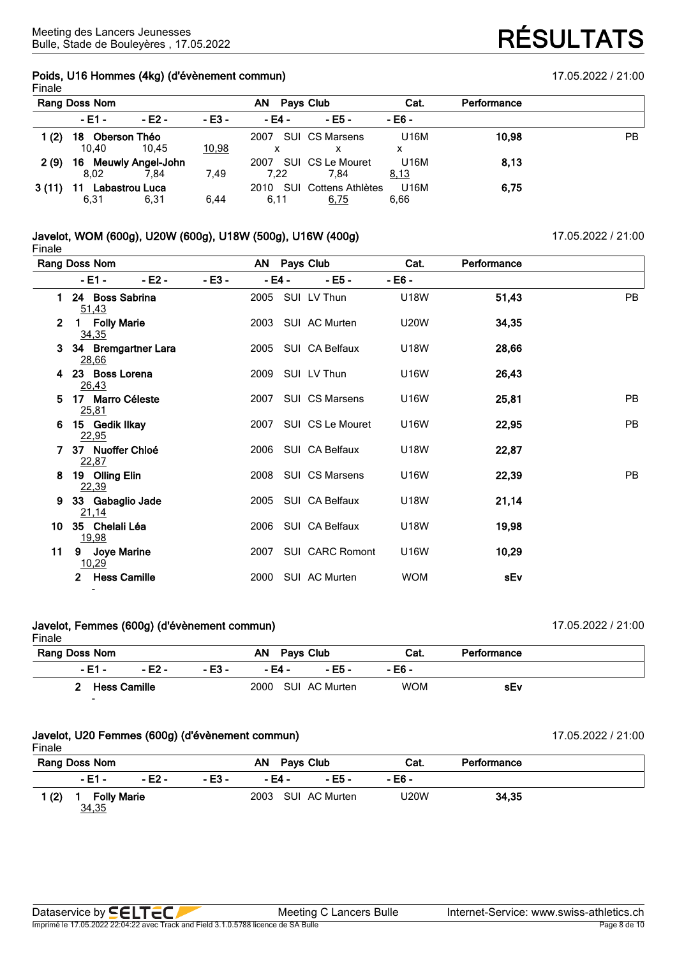## **Poids, U16 Hommes (4kg) (d'évènement commun)** 17.05.2022 / 21:00 Finale

|         | Rang Doss Nom                |         |              | AN<br><b>Pays Club</b> |                                   | Cat.         | Performance |           |
|---------|------------------------------|---------|--------------|------------------------|-----------------------------------|--------------|-------------|-----------|
|         | $-E1 -$                      | $-E2 -$ | $-E3 -$      | - E4 -                 | - E5 -                            | $-E6 -$      |             |           |
| 1 $(2)$ | 18 Oberson Théo<br>10.40     | 10.45   | <u>10,98</u> | 2007                   | <b>SUI CS Marsens</b>             | U16M<br>х    | 10,98       | <b>PB</b> |
| 2(9)    | 16 Meuwly Angel-John<br>8.02 | 7.84    | 7.49         | 7.22                   | 2007 SUI CS Le Mouret<br>7.84     | U16M<br>8,13 | 8,13        |           |
| 3(11)   | Labastrou Luca<br>6,31       | 6,31    | 6,44         | 6,11                   | 2010 SUI Cottens Athlètes<br>6,75 | U16M<br>6,66 | 6,75        |           |

## **Javelot, WOM (600g), U20W (600g), U18W (500g), U16W (400g)** 17.05.2022 / 21:00 Finale

**Rang Doss Nom AN Pays Club Cat. Performance - E1 - - E2 - - E3 - - E4 - - E5 - - E6 - 1 24 Boss Sabrina** 2005 SUI LV Thun U18W **51,43** PB 51,43 **2 1 Folly Marie** 2003 SUI AC Murten U20W **34,35** 34,35 **3 34 Bremgartner Lara** 2005 SUI CA Belfaux U18W **28,66** 28,66 **4 23 Boss Lorena** 2009 SUI LV Thun U16W **26,43** 26,43 **5 17 Marro Céleste** 2007 SUI CS Marsens U16W **25,81** PB 25,81 **6 15 Gedik Ilkay** 2007 SUI CS Le Mouret U16W **22,95** PB 22,95 **7 37 Nuoffer Chloé** 2006 SUI CA Belfaux U18W **22,87** 22,87 **8 19 Olling Elin** 2008 SUI CS Marsens U16W **22,39** PB 22,39 **9 33 Gabaglio Jade** 2005 SUI CA Belfaux U18W **21,14** 21,14 **10 35 Chelali Léa** 2006 SUI CA Belfaux U18W **19,98** 19,98 **11 9 Joye Marine** 2007 SUI CARC Romont U16W **10,29** 10,29 **2 Hess Camille** 2000 SUI AC Murten WOM **sEv** -

#### **Javelot, Femmes (600g) (d'évènement commun)** 17.05.2022 / 21:00 Finale

| Rang Doss Nom |                |        |         | AN Pays Club |                    | Cat.       | Performance |
|---------------|----------------|--------|---------|--------------|--------------------|------------|-------------|
|               | $-E1 -$        | - E2 - | $-E3 -$ | - E4 -       | - E5 -             | - E6 -     |             |
|               | 2 Hess Camille |        |         |              | 2000 SUI AC Murten | <b>WOM</b> | sEv         |
|               | $\sim$         |        |         |              |                    |            |             |

# **Javelot, U20 Femmes (600g) (d'évènement commun)** 17.05.2022 / 21:00

Finale

|  | $1 - 0 - 000010100$ |  |  |
|--|---------------------|--|--|
|  |                     |  |  |
|  |                     |  |  |

| טוטווו                             |        |        |        |              |                    |        |             |  |
|------------------------------------|--------|--------|--------|--------------|--------------------|--------|-------------|--|
| <b>Rang Doss Nom</b>               |        |        |        | AN Pays Club |                    | Cat.   | Performance |  |
|                                    | - E1 - | - E2 - | - E3 - | - E4 -       | - F5 -             | - E6 - |             |  |
| (2)<br><b>Folly Marie</b><br>34,35 |        |        |        |              | 2003 SUI AC Murten | U20W   | 34,35       |  |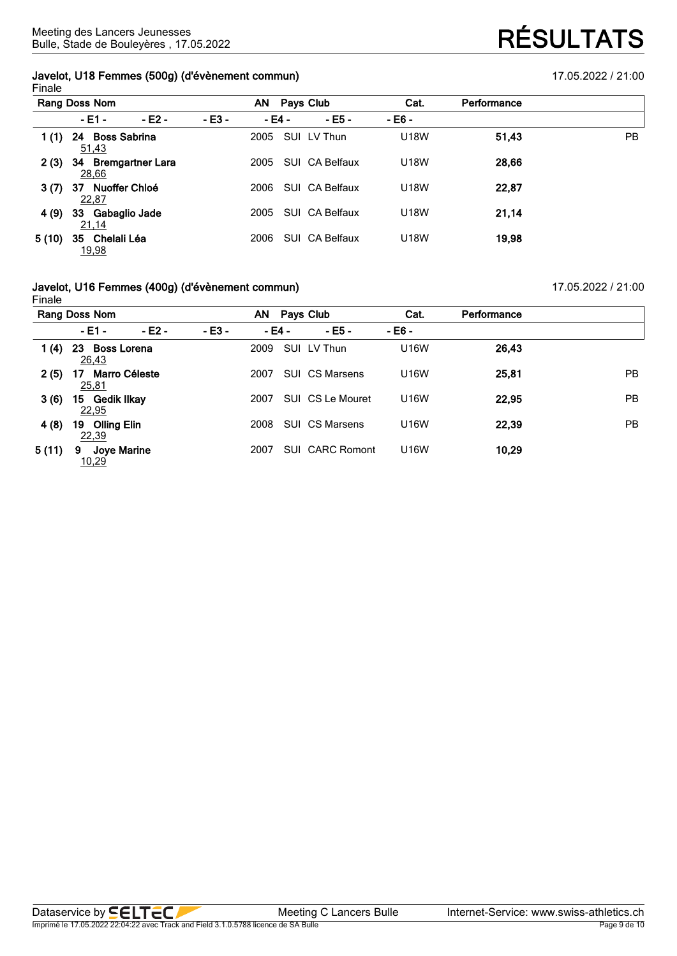## **Javelot, U18 Femmes (500g) (d'évènement commun)** 17.05.2022 / 21:00 Finale

|       | Rang Doss Nom                          |         |        | AN     | Pays Club      | Cat.        | Performance |           |
|-------|----------------------------------------|---------|--------|--------|----------------|-------------|-------------|-----------|
|       | $-E1 -$                                | $-E2 -$ | - E3 - | - E4 - | $-E5 -$        | - E6 -      |             |           |
| 1 (1) | <b>Boss Sabrina</b><br>24<br>51,43     |         |        | 2005   | SUI LV Thun    | <b>U18W</b> | 51,43       | <b>PB</b> |
| 2(3)  | <b>Bremgartner Lara</b><br>34<br>28,66 |         |        | 2005   | SUI CA Belfaux | U18W        | 28,66       |           |
| 3(7)  | Nuoffer Chloé<br>37<br>22,87           |         |        | 2006   | SUI CA Belfaux | U18W        | 22,87       |           |
| 4(9)  | Gabaglio Jade<br>33<br>21,14           |         |        | 2005   | SUI CA Belfaux | <b>U18W</b> | 21,14       |           |
| 5(10) | Chelali Léa<br>35<br>19,98             |         |        | 2006   | SUI CA Belfaux | U18W        | 19,98       |           |

### **Javelot, U16 Femmes (400g) (d'évènement commun)** 17.05.2022 / 21:00 Finale

**Rang Doss Nom AN Pays Club Cat. Performance - E1 - - E2 - - E3 - - E4 - - E5 - - E6 - 1 (4) 23 Boss Lorena** 2009 SUI LV Thun U16W **26,43** 26,43 **2 (5) 17 Marro Céleste** 2007 SUI CS Marsens U16W **25,81** PB 25,81 **3 (6) 15 Gedik Ilkay** 2007 SUI CS Le Mouret U16W **22,95** PB 22,95 **4 (8) 19 Olling Elin** 2008 SUI CS Marsens U16W **22,39** PB 22,39 **5 (11) 9 Joye Marine** 2007 SUI CARC Romont U16W **10,29** 10,29